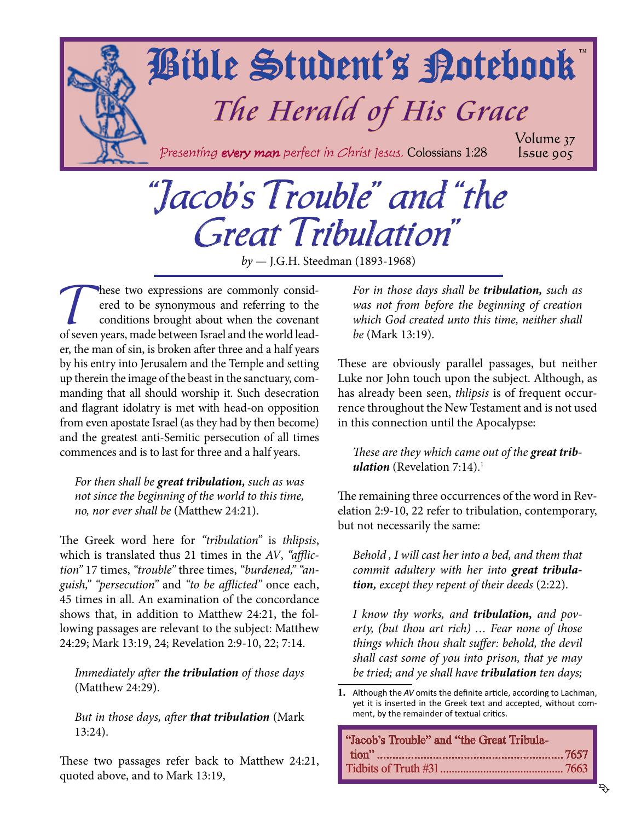<span id="page-0-0"></span>

# "Jacob's Trouble" and "the Great Tribulation"

*by* — J.G.H. Steedman (1893-1968)

These two expressions are commonly considered to be synonymous and referring to the conditions brought about when the covenant<br>of seven years made between Israel and the world leadered to be synonymous and referring to the conditions brought about when the covenant of seven years, made between Israel and the world leader, the man of sin, is broken after three and a half years by his entry into Jerusalem and the Temple and setting up therein the image of the beast in the sanctuary, commanding that all should worship it. Such desecration and flagrant idolatry is met with head-on opposition from even apostate Israel (as they had by then become) and the greatest anti-Semitic persecution of all times commences and is to last for three and a half years.

*For then shall be great tribulation, such as was not since the beginning of the world to this time, no, nor ever shall be* (Matthew 24:21).

The Greek word here for *"tribulation"* is *thlipsis*, which is translated thus 21 times in the *AV*, *"affliction"* 17 times, *"trouble"* three times, *"burdened," "anguish," "persecution"* and *"to be afflicted"* once each, 45 times in all. An examination of the concordance shows that, in addition to Matthew 24:21, the following passages are relevant to the subject: Matthew 24:29; Mark 13:19, 24; Revelation 2:9-10, 22; 7:14.

*Immediately after the tribulation of those days* (Matthew 24:29).

*But in those days, after that tribulation* (Mark 13:24).

These two passages refer back to Matthew 24:21, quoted above, and to Mark 13:19,

*For in those days shall be tribulation, such as was not from before the beginning of creation which God created unto this time, neither shall be* (Mark 13:19).

These are obviously parallel passages, but neither Luke nor John touch upon the subject. Although, as has already been seen, *thlipsis* is of frequent occurrence throughout the New Testament and is not used in this connection until the Apocalypse:

*These are they which came out of the great tribulation* (Revelation 7:14).<sup>1</sup>

The remaining three occurrences of the word in Revelation 2:9-10, 22 refer to tribulation, contemporary, but not necessarily the same:

*Behold , I will cast her into a bed, and them that commit adultery with her into great tribulation, except they repent of their deeds* (2:22).

*I know thy works, and tribulation, and poverty, (but thou art rich) … Fear none of those things which thou shalt suffer: behold, the devil shall cast some of you into prison, that ye may be tried; and ye shall have tribulation ten days;* 

**<sup>1.</sup>** Although the *AV* omits the definite article, according to Lachman, yet it is inserted in the Greek text and accepted, without comment, by the remainder of textual critics.

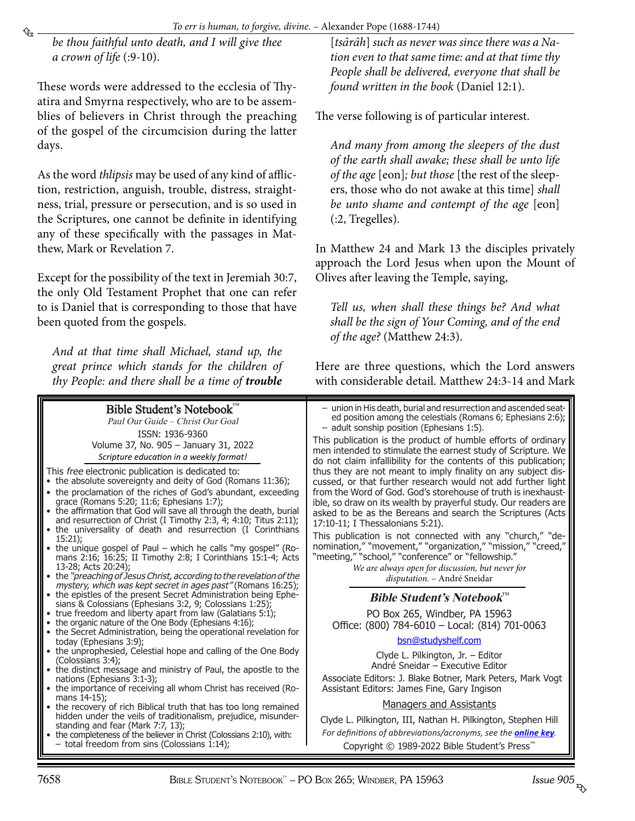<span id="page-1-0"></span>*be thou faithful unto death, and I will give thee a crown of life* (:9-10).

These words were addressed to the ecclesia of Thyatira and Smyrna respectively, who are to be assemblies of believers in Christ through the preaching of the gospel of the circumcision during the latter days.

As the word *thlipsis* may be used of any kind of affliction, restriction, anguish, trouble, distress, straightness, trial, pressure or persecution, and is so used in the Scriptures, one cannot be definite in identifying any of these specifically with the passages in Matthew, Mark or Revelation 7.

Except for the possibility of the text in Jeremiah 30:7, the only Old Testament Prophet that one can refer to is Daniel that is corresponding to those that have been quoted from the gospels.

*And at that time shall Michael, stand up, the great prince which stands for the children of thy People: and there shall be a time of trouble*

Bible Student's Notebook™ Paul Our Guide – Christ Our Goal ISSN: 1936-9360 Volume 37, No. 905 – January 31, 2022 *Scripture education in a weekly format!* This free electronic publication is dedicated to: • the absolute sovereignty and deity of God (Romans 11:36); • the proclamation of the riches of God's abundant, exceeding grace (Romans 5:20; 11:6; Ephesians 1:7); • the affirmation that God will save all through the death, burial and resurrection of Christ (I Timothy 2:3, 4; 4:10; Titus 2:11); the universality of death and resurrection (I Corinthians 15:21); • the unique gospel of Paul – which he calls "my gospel" (Romans 2:16; 16:25; II Timothy 2:8; I Corinthians 15:1-4; Acts 13-28; Acts 20:24); • the "preaching of Jesus Christ, according to the revelation of the mystery, which was kept secret in ages past" (Romans 16:25); • the epistles of the present Secret Administration being Ephesians & Colossians (Ephesians 3:2, 9; Colossians 1:25); true freedom and liberty apart from law (Galatians 5:1); • the organic nature of the One Body (Ephesians 4:16); the Secret Administration, being the operational revelation for today (Ephesians 3:9); • the unprophesied, Celestial hope and calling of the One Body (Colossians 3:4); • the distinct message and ministry of Paul, the apostle to the nations (Ephesians 3:1-3); the importance of receiving all whom Christ has received (Romans 14-15); the recovery of rich Biblical truth that has too long remained hidden under the veils of traditionalism, prejudice, misunderstanding and fear (Mark 7:7, 13); the completeness of the believer in Christ (Colossians 2:10), with: total freedom from sins (Colossians  $1:14$ ); – union in His death, burial and resurrection and ascended seated position among the celestials (Romans 6; Ephesians 2:6); – adult sonship position (Ephesians 1:5). This publication is the product of humble efforts of ordinary men intended to stimulate the earnest study of Scripture. We do not claim infallibility for the contents of this publication; thus they are not meant to imply finality on any subject discussed, or that further research would not add further light from the Word of God. God's storehouse of truth is inexhaustible, so draw on its wealth by prayerful study. Our readers are asked to be as the Bereans and search the Scriptures (Acts 17:10-11; I Thessalonians 5:21). This publication is not connected with any "church," "denomination," "movement," "organization," "mission," "creed," "meeting," "school," "conference" or "fellowship." *We are always open for discussion, but never for disputation.* – André Sneidar **Bible Student's Notebook**™ PO Box 265, Windber, PA 15963 Office: (800) 784-6010 – Local: (814) 701-0063 bsn@studyshelf.com Clyde L. Pilkington, Jr. – Editor André Sneidar – Executive Editor Associate Editors: J. Blake Botner, Mark Peters, Mark Vogt Assistant Editors: James Fine, Gary Ingison Managers and Assistants Clyde L. Pilkington, III, Nathan H. Pilkington, Stephen Hill *For definitions of abbreviations/acronyms, see the [online key](http://studyshelf.com/abbreviation-key.pdf).* Copyright © 1989-2022 Bible Student's Press™

[*tsârâh*] *such as never was since there was a Nation even to that same time: and at that time thy People shall be delivered, everyone that shall be found written in the book* (Daniel 12:1).

The verse following is of particular interest.

*And many from among the sleepers of the dust of the earth shall awake; these shall be unto life of the age* [eon]*; but those* [the rest of the sleepers, those who do not awake at this time] *shall be unto shame and contempt of the age* [eon] (:2, Tregelles).

In Matthew 24 and Mark 13 the disciples privately approach the Lord Jesus when upon the Mount of Olives after leaving the Temple, saying,

*Tell us, when shall these things be? And what shall be the sign of Your Coming, and of the end of the age?* (Matthew 24:3).

Here are three questions, which the Lord answers with considerable detail. Matthew 24:3-14 and Mark

Issue 905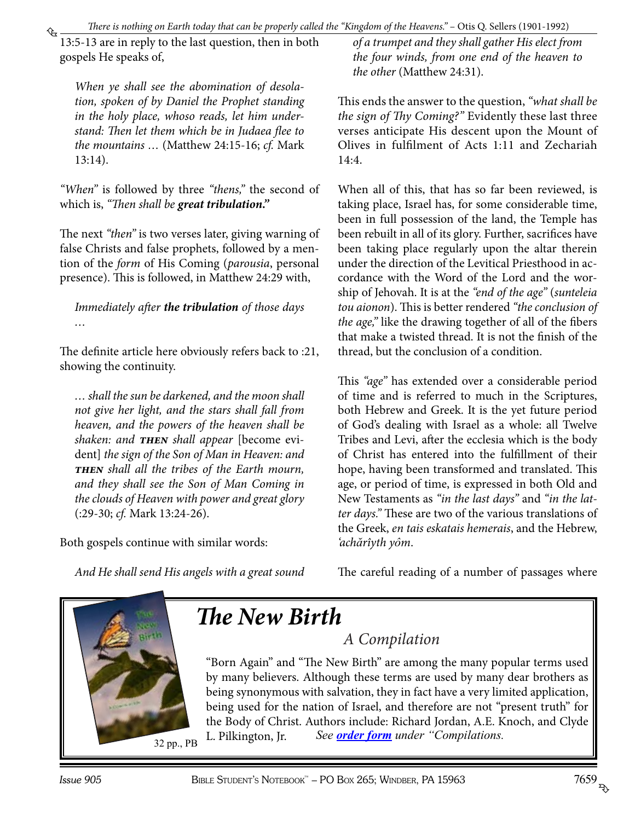*There is nothing on Earth today that can be properly called the "Kingdom of the Heavens."* – Otis Q. Sellers (1901-1992)

<span id="page-2-0"></span>13:5-13 are in reply to the last question, then in both gospels He speaks of,

*When ye shall see the abomination of desolation, spoken of by Daniel the Prophet standing in the holy place, whoso reads, let him understand: Then let them which be in Judaea flee to the mountains …* (Matthew 24:15-16; *cf.* Mark 13:14).

*"When"* is followed by three *"thens,"* the second of which is, *"Then shall be great tribulation."*

The next *"then"* is two verses later, giving warning of false Christs and false prophets, followed by a mention of the *form* of His Coming (*parousia*, personal presence). This is followed, in Matthew 24:29 with,

*Immediately after the tribulation of those days …*

The definite article here obviously refers back to :21, showing the continuity.

*… shall the sun be darkened, and the moon shall not give her light, and the stars shall fall from heaven, and the powers of the heaven shall be shaken: and then shall appear* [become evident] *the sign of the Son of Man in Heaven: and then shall all the tribes of the Earth mourn, and they shall see the Son of Man Coming in the clouds of Heaven with power and great glory* (:29-30; *cf.* Mark 13:24-26).

Both gospels continue with similar words:

*of a trumpet and they shall gather His elect from the four winds, from one end of the heaven to the other* (Matthew 24:31).

This ends the answer to the question, *"what shall be the sign of Thy Coming?"* Evidently these last three verses anticipate His descent upon the Mount of Olives in fulfilment of Acts 1:11 and Zechariah 14:4.

When all of this, that has so far been reviewed, is taking place, Israel has, for some considerable time, been in full possession of the land, the Temple has been rebuilt in all of its glory. Further, sacrifices have been taking place regularly upon the altar therein under the direction of the Levitical Priesthood in accordance with the Word of the Lord and the worship of Jehovah. It is at the *"end of the age"* (*sunteleia tou aionon*). This is better rendered *"the conclusion of the age,"* like the drawing together of all of the fibers that make a twisted thread. It is not the finish of the thread, but the conclusion of a condition.

This *"age"* has extended over a considerable period of time and is referred to much in the Scriptures, both Hebrew and Greek. It is the yet future period of God's dealing with Israel as a whole: all Twelve Tribes and Levi, after the ecclesia which is the body of Christ has entered into the fulfillment of their hope, having been transformed and translated. This age, or period of time, is expressed in both Old and New Testaments as *"in the last days"* and *"in the latter days."* These are two of the various translations of the Greek, *en tais eskatais hemerais*, and the Hebrew, *'achărîyth yôm*.

*And He shall send His angels with a great sound* 





# *The New Birth*

*A Compilation*

"Born Again" and "The New Birth" are among the many popular terms used by many believers. Although these terms are used by many dear brothers as being synonymous with salvation, they in fact have a very limited application, [being used for the nation of Israel, and therefore are not "present truth" for](http://www.studyshelf.com/dispensational.htm#2923)  the Body of Christ. Authors include: Richard Jordan, A.E. Knoch, and Clyde L. Pilkington, Jr. *See [order form](http://studyshelf.com/orderform-studyshelf.pdf) under "Compilations.*

32 pp., PB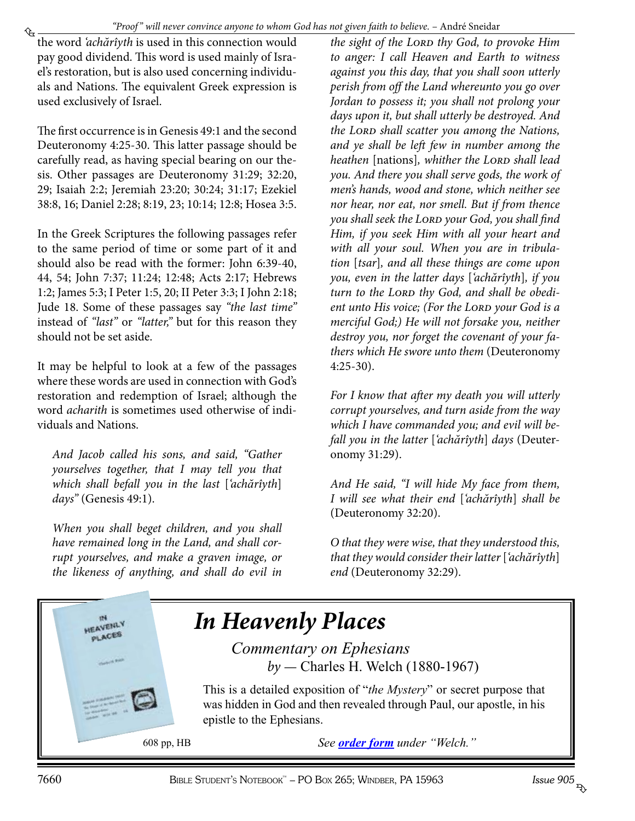<span id="page-3-0"></span>₠ the word *'achărîyth* is used in this connection would pay good dividend. This word is used mainly of Israel's restoration, but is also used concerning individuals and Nations. The equivalent Greek expression is used exclusively of Israel.

The first occurrence is in Genesis 49:1 and the second Deuteronomy 4:25-30. This latter passage should be carefully read, as having special bearing on our thesis. Other passages are Deuteronomy 31:29; 32:20, 29; Isaiah 2:2; Jeremiah 23:20; 30:24; 31:17; Ezekiel 38:8, 16; Daniel 2:28; 8:19, 23; 10:14; 12:8; Hosea 3:5.

In the Greek Scriptures the following passages refer to the same period of time or some part of it and should also be read with the former: John 6:39-40, 44, 54; John 7:37; 11:24; 12:48; Acts 2:17; Hebrews 1:2; James 5:3; I Peter 1:5, 20; II Peter 3:3; I John 2:18; Jude 18. Some of these passages say *"the last time"* instead of *"last"* or *"latter,"* but for this reason they should not be set aside.

It may be helpful to look at a few of the passages where these words are used in connection with God's restoration and redemption of Israel; although the word *acharith* is sometimes used otherwise of individuals and Nations.

*And Jacob called his sons, and said, "Gather yourselves together, that I may tell you that which shall befall you in the last* [*'achărîyth*] *days"* (Genesis 49:1).

*When you shall beget children, and you shall have remained long in the Land, and shall corrupt yourselves, and make a graven image, or the likeness of anything, and shall do evil in*  *the sight of the Lord thy God, to provoke Him to anger: I call Heaven and Earth to witness against you this day, that you shall soon utterly perish from off the Land whereunto you go over Jordan to possess it; you shall not prolong your days upon it, but shall utterly be destroyed. And the Lord shall scatter you among the Nations, and ye shall be left few in number among the heathen* [nations], whither the LORD shall lead *you. And there you shall serve gods, the work of men's hands, wood and stone, which neither see nor hear, nor eat, nor smell. But if from thence you shall seek the Lord your God, you shall find Him, if you seek Him with all your heart and with all your soul. When you are in tribulation* [*tsar*]*, and all these things are come upon you, even in the latter days* [*'achărîyth*]*, if you*  turn to the LORD thy God, and shall be obedient unto His voice; (For the LORD your God is a *merciful God;) He will not forsake you, neither destroy you, nor forget the covenant of your fathers which He swore unto them* (Deuteronomy 4:25-30).

*For I know that after my death you will utterly corrupt yourselves, and turn aside from the way which I have commanded you; and evil will befall you in the latter* [*'achărîyth*] *days* (Deuteronomy 31:29).

*And He said, "I will hide My face from them, I will see what their end* [*'achărîyth*] *shall be* (Deuteronomy 32:20).

*O that they were wise, that they understood this, that they would consider their latter* [*'achărîyth*] *end* (Deuteronomy 32:29).

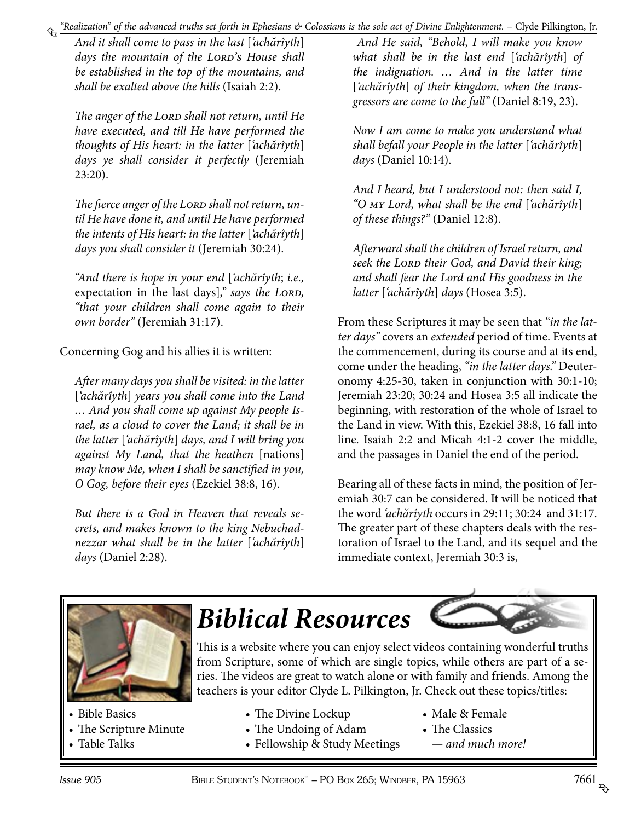<span id="page-4-0"></span>*"Realization" of the advanced truths set forth in Ephesians & Colossians is the sole act of Divine Enlightenment.* – Clyde Pilkington, Jr.

*And it shall come to pass in the last* [*'achărîyth*] days the mountain of the LORD's House shall *be established in the top of the mountains, and shall be exalted above the hills* (Isaiah 2:2).

The anger of the LORD shall not return, until He *have executed, and till He have performed the thoughts of His heart: in the latter* [*'achărîyth*] *days ye shall consider it perfectly* (Jeremiah 23:20).

The fierce anger of the LORD shall not return, un*til He have done it, and until He have performed the intents of His heart: in the latter* [*'achărîyth*] *days you shall consider it* (Jeremiah 30:24).

*"And there is hope in your end* [*'achărîyth*; *i.e.,* expectation in the last days]," says the LORD, *"that your children shall come again to their own border"* (Jeremiah 31:17).

Concerning Gog and his allies it is written:

*After many days you shall be visited: in the latter*  [*'achărîyth*] *years you shall come into the Land … And you shall come up against My people Israel, as a cloud to cover the Land; it shall be in the latter* [*'achărîyth*] *days, and I will bring you against My Land, that the heathen* [nations] *may know Me, when I shall be sanctified in you, O Gog, before their eyes* (Ezekiel 38:8, 16).

*But there is a God in Heaven that reveals secrets, and makes known to the king Nebuchadnezzar what shall be in the latter* [*'achărîyth*] *days* (Daniel 2:28).

 *And He said, "Behold, I will make you know what shall be in the last end* [*'achărîyth*] *of the indignation. … And in the latter time*  [*'achărîyth*] *of their kingdom, when the transgressors are come to the full"* (Daniel 8:19, 23).

*Now I am come to make you understand what shall befall your People in the latter* [*'achărîyth*] *days* (Daniel 10:14).

*And I heard, but I understood not: then said I, "O my Lord, what shall be the end* [*'achărîyth*] *of these things?"* (Daniel 12:8).

*Afterward shall the children of Israel return, and seek the Lord their God, and David their king; and shall fear the Lord and His goodness in the latter* [*'achărîyth*] *days* (Hosea 3:5).

From these Scriptures it may be seen that *"in the latter days"* covers an *extended* period of time. Events at the commencement, during its course and at its end, come under the heading, *"in the latter days."* Deuteronomy 4:25-30, taken in conjunction with 30:1-10; Jeremiah 23:20; 30:24 and Hosea 3:5 all indicate the beginning, with restoration of the whole of Israel to the Land in view. With this, Ezekiel 38:8, 16 fall into line. Isaiah 2:2 and Micah 4:1-2 cover the middle, and the passages in Daniel the end of the period.

Bearing all of these facts in mind, the position of Jeremiah 30:7 can be considered. It will be noticed that the word *'achărîyth* occurs in 29:11; 30:24 and 31:17. The greater part of these chapters deals with the restoration of Israel to the Land, and its sequel and the immediate context, Jeremiah 30:3 is,



- • Bible Basics
- • The Scripture Minute
- Table Talks

# *[Biblical Resources](https://www.youtube.com/user/1424241)*



This is a website where you can enjoy select videos containing wonderful truths from Scripture, some of which are single topics, while others are part of a series. The videos are great to watch alone or with family and friends. Among the teachers is your editor Clyde L. Pilkington, Jr. Check out these topics/titles:

- The Divine Lockup • The Undoing of Adam
- • Male & Female
- The Classics
	- *and much more!*

• Fellowship & Study Meetings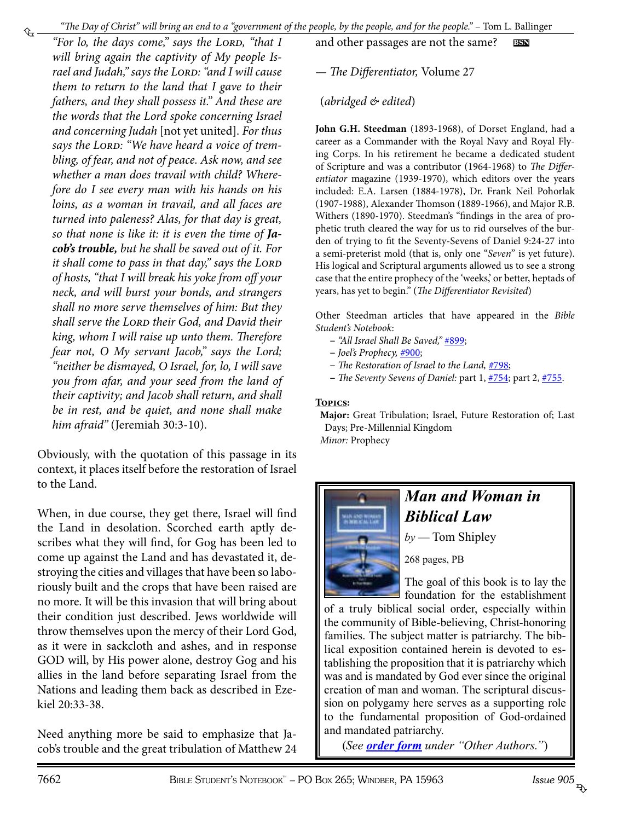<span id="page-5-0"></span>"For lo, the days come," says the LORD, "that I *will bring again the captivity of My people Is*rael and Judah," says the LORD: "and I will cause *them to return to the land that I gave to their fathers, and they shall possess it." And these are the words that the Lord spoke concerning Israel and concerning Judah* [not yet united]*. For thus*  says the LORD: "We have heard a voice of trem*bling, of fear, and not of peace. Ask now, and see whether a man does travail with child? Wherefore do I see every man with his hands on his loins, as a woman in travail, and all faces are turned into paleness? Alas, for that day is great, so that none is like it: it is even the time of Jacob's trouble, but he shall be saved out of it. For it shall come to pass in that day," says the LORD of hosts, "that I will break his yoke from off your neck, and will burst your bonds, and strangers shall no more serve themselves of him: But they shall serve the Lord their God, and David their king, whom I will raise up unto them. Therefore fear not, O My servant Jacob," says the Lord; "neither be dismayed, O Israel, for, lo, I will save you from afar, and your seed from the land of their captivity; and Jacob shall return, and shall be in rest, and be quiet, and none shall make him afraid"* (Jeremiah 30:3-10).

Obviously, with the quotation of this passage in its context, it places itself before the restoration of Israel to the Land.

When, in due course, they get there, Israel will find the Land in desolation. Scorched earth aptly describes what they will find, for Gog has been led to come up against the Land and has devastated it, destroying the cities and villages that have been so laboriously built and the crops that have been raised are no more. It will be this invasion that will bring about their condition just described. Jews worldwide will throw themselves upon the mercy of their Lord God, as it were in sackcloth and ashes, and in response GOD will, by His power alone, destroy Gog and his allies in the land before separating Israel from the Nations and leading them back as described in Ezekiel 20:33-38.

Need anything more be said to emphasize that Jacob's trouble and the great tribulation of Matthew 24 and other passages are not the same? **bsn**

— *The Differentiator,* Volume 27

(*abridged & edited*)

**John G.H. Steedman** (1893-1968), of Dorset England, had a career as a Commander with the Royal Navy and Royal Flying Corps. In his retirement he became a dedicated student of Scripture and was a contributor (1964-1968) to *The Differentiator* magazine (1939-1970), which editors over the years included: E.A. Larsen (1884-1978), Dr. Frank Neil Pohorlak (1907-1988), Alexander Thomson (1889-1966), and Major R.B. Withers (1890-1970). Steedman's "findings in the area of prophetic truth cleared the way for us to rid ourselves of the burden of trying to fit the Seventy-Sevens of Daniel 9:24-27 into a semi-preterist mold (that is, only one "*Seven*" is yet future). His logical and Scriptural arguments allowed us to see a strong case that the entire prophecy of the 'weeks,' or better, heptads of years, has yet to begin." (*The Differentiator Revisited*)

Other Steedman articles that have appeared in the *Bible Student's Notebook*:

- *"All Israel Shall Be Saved,"* [#899;](http://www.biblestudentsnotebook.com/bsn899.pdf)
- *Joel's Prophecy, #*[900](http://www.biblestudentsnotebook.com/bsn900.pdf);
- *The Restoration of Israel to the Land, #*[798](http://www.biblestudentsnotebook.com/bsn798.pdf);
- *The Seventy Sevens of Daniel:* part 1, [#754](http://www.biblestudentsnotebook.com/bsn754.pdf); part 2, [#755](http://www.biblestudentsnotebook.com/bsn755.pdf).

#### **Topics:**

**Major:** Great Tribulation; Israel, Future Restoration of; Last Days; Pre-Millennial Kingdom *Minor:* Prophecy



## *Man and Woman in Biblical Law*

*by* — Tom Shipley

268 pages, PB

The goal of this book is to lay the foundation for the establishment

[of a truly biblical social order, especially within](http://www.patriarchpublishinghouse.com/pphothergoodbooks.htm)  the community of Bible-believing, Christ-honoring families. The subject matter is patriarchy. The biblical exposition contained herein is devoted to establishing the proposition that it is patriarchy which was and is mandated by God ever since the original creation of man and woman. The scriptural discussion on polygamy here serves as a supporting role to the fundamental proposition of God-ordained and mandated patriarchy.

(*See [order form](http://studyshelf.com/orderform-studyshelf.pdf) under "Other Authors."*)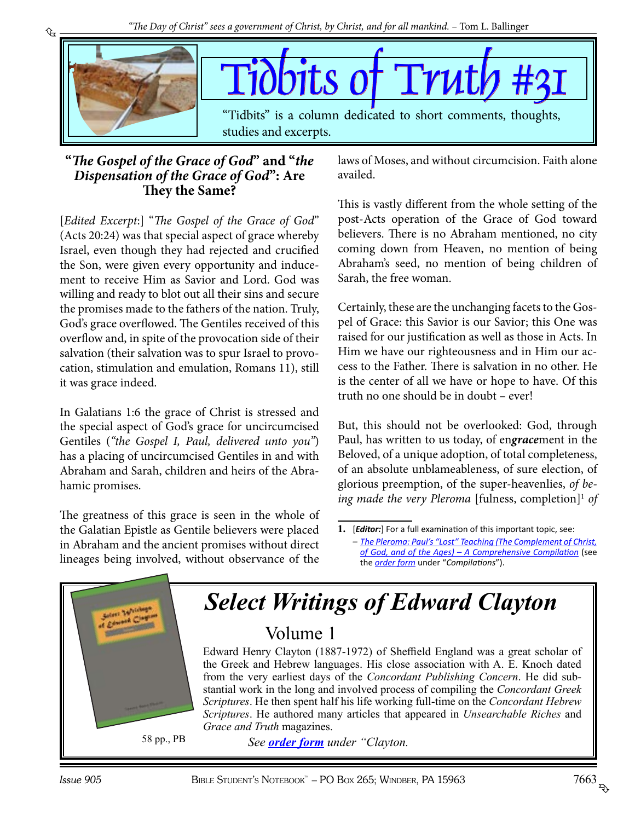

### **"***The Gospel of the Grace of God***" and "***the Dispensation of the Grace of God***": Are They the Same?**

<span id="page-6-0"></span>₠

[*Edited Excerpt*:] "*The Gospel of the Grace of God*" (Acts 20:24) was that special aspect of grace whereby Israel, even though they had rejected and crucified the Son, were given every opportunity and inducement to receive Him as Savior and Lord. God was willing and ready to blot out all their sins and secure the promises made to the fathers of the nation. Truly, God's grace overflowed. The Gentiles received of this overflow and, in spite of the provocation side of their salvation (their salvation was to spur Israel to provocation, stimulation and emulation, Romans 11), still it was grace indeed.

In Galatians 1:6 the grace of Christ is stressed and the special aspect of God's grace for uncircumcised Gentiles (*"the Gospel I, Paul, delivered unto you"*) has a placing of uncircumcised Gentiles in and with Abraham and Sarah, children and heirs of the Abrahamic promises.

The greatness of this grace is seen in the whole of the Galatian Epistle as Gentile believers were placed in Abraham and the ancient promises without direct lineages being involved, without observance of the laws of Moses, and without circumcision. Faith alone availed.

This is vastly different from the whole setting of the post-Acts operation of the Grace of God toward believers. There is no Abraham mentioned, no city coming down from Heaven, no mention of being Abraham's seed, no mention of being children of Sarah, the free woman.

Certainly, these are the unchanging facets to the Gospel of Grace: this Savior is our Savior; this One was raised for our justification as well as those in Acts. In Him we have our righteousness and in Him our access to the Father. There is salvation in no other. He is the center of all we have or hope to have. Of this truth no one should be in doubt – ever!

But, this should not be overlooked: God, through Paul, has written to us today, of en*grace*ment in the Beloved, of a unique adoption, of total completeness, of an absolute unblameableness, of sure election, of glorious preemption, of the super-heavenlies, *of be*ing made the very Pleroma [fulness, completion]<sup>1</sup> of

**<sup>1.</sup>** [*Editor:*] For a full examination of this important topic, see: *– [The Pleroma: Paul's "Lost" Teaching \(The Complement of Christ,](http://www.studyshelf.com/compilations.htm#3814) [of God, and of the Ages\) – A Comprehensive Compilation](http://www.studyshelf.com/compilations.htm#3814)* (see the *[order form](http://studyshelf.com/orderform-studyshelf.pdf)* under "*Compilations*").